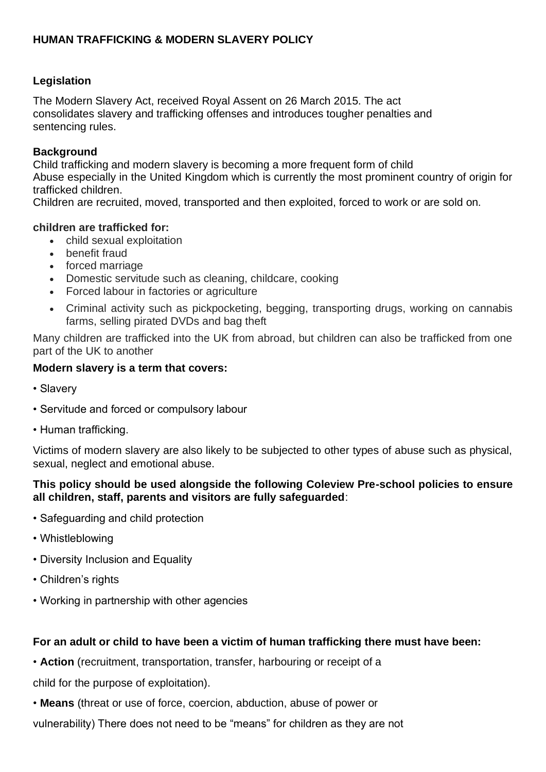# **HUMAN TRAFFICKING & MODERN SLAVERY POLICY**

### **Legislation**

The Modern Slavery Act, received Royal Assent on 26 March 2015. The act consolidates slavery and trafficking offenses and introduces tougher penalties and sentencing rules.

### **Background**

Child trafficking and modern slavery is becoming a more frequent form of child Abuse especially in the United Kingdom which is currently the most prominent country of origin for trafficked children.

Children are recruited, moved, transported and then exploited, forced to work or are sold on.

### **children are trafficked for:**

- child sexual exploitation
- benefit fraud
- forced marriage
- Domestic servitude such as cleaning, childcare, cooking
- Forced labour in factories or agriculture
- Criminal activity such as pickpocketing, begging, transporting drugs, working on cannabis farms, selling pirated DVDs and bag theft

Many children are trafficked into the UK from abroad, but children can also be trafficked from one part of the UK to another

### **Modern slavery is a term that covers:**

- Slavery
- Servitude and forced or compulsory labour
- Human trafficking.

Victims of modern slavery are also likely to be subjected to other types of abuse such as physical, sexual, neglect and emotional abuse.

# **This policy should be used alongside the following Coleview Pre-school policies to ensure all children, staff, parents and visitors are fully safeguarded**:

- Safeguarding and child protection
- Whistleblowing
- Diversity Inclusion and Equality
- Children's rights
- Working in partnership with other agencies

# **For an adult or child to have been a victim of human trafficking there must have been:**

• **Action** (recruitment, transportation, transfer, harbouring or receipt of a

child for the purpose of exploitation).

- **Means** (threat or use of force, coercion, abduction, abuse of power or
- vulnerability) There does not need to be "means" for children as they are not